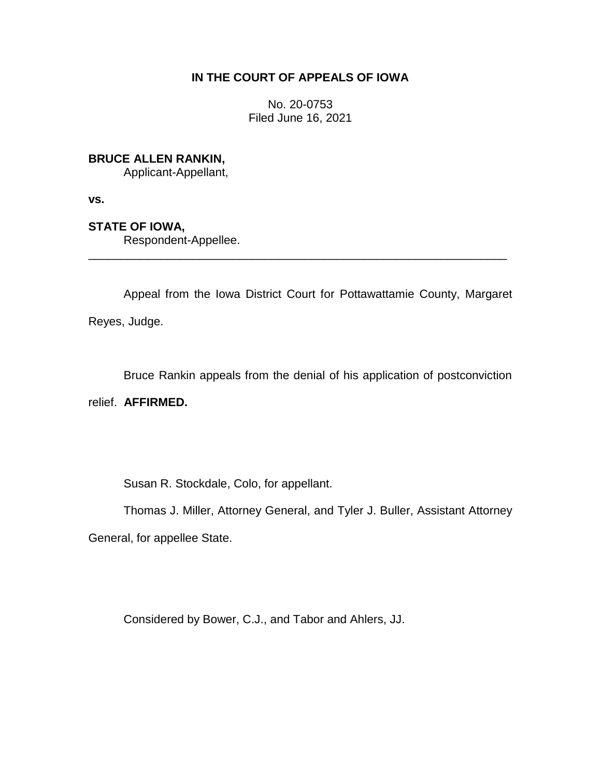## **IN THE COURT OF APPEALS OF IOWA**

No. 20-0753 Filed June 16, 2021

**BRUCE ALLEN RANKIN,**

Applicant-Appellant,

**vs.**

**STATE OF IOWA,**

Respondent-Appellee.

Appeal from the Iowa District Court for Pottawattamie County, Margaret Reyes, Judge.

\_\_\_\_\_\_\_\_\_\_\_\_\_\_\_\_\_\_\_\_\_\_\_\_\_\_\_\_\_\_\_\_\_\_\_\_\_\_\_\_\_\_\_\_\_\_\_\_\_\_\_\_\_\_\_\_\_\_\_\_\_\_\_\_

Bruce Rankin appeals from the denial of his application of postconviction

relief. **AFFIRMED.**

Susan R. Stockdale, Colo, for appellant.

Thomas J. Miller, Attorney General, and Tyler J. Buller, Assistant Attorney

General, for appellee State.

Considered by Bower, C.J., and Tabor and Ahlers, JJ.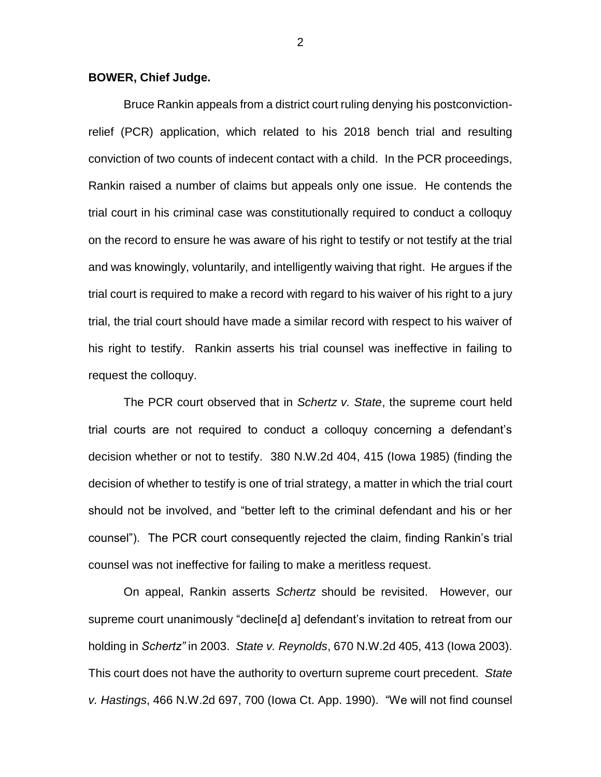## **BOWER, Chief Judge.**

Bruce Rankin appeals from a district court ruling denying his postconvictionrelief (PCR) application, which related to his 2018 bench trial and resulting conviction of two counts of indecent contact with a child. In the PCR proceedings, Rankin raised a number of claims but appeals only one issue. He contends the trial court in his criminal case was constitutionally required to conduct a colloquy on the record to ensure he was aware of his right to testify or not testify at the trial and was knowingly, voluntarily, and intelligently waiving that right. He argues if the trial court is required to make a record with regard to his waiver of his right to a jury trial, the trial court should have made a similar record with respect to his waiver of his right to testify. Rankin asserts his trial counsel was ineffective in failing to request the colloquy.

The PCR court observed that in *Schertz v. State*, the supreme court held trial courts are not required to conduct a colloquy concerning a defendant's decision whether or not to testify. 380 N.W.2d 404, 415 (Iowa 1985) (finding the decision of whether to testify is one of trial strategy, a matter in which the trial court should not be involved, and "better left to the criminal defendant and his or her counsel"). The PCR court consequently rejected the claim, finding Rankin's trial counsel was not ineffective for failing to make a meritless request.

On appeal, Rankin asserts *Schertz* should be revisited. However, our supreme court unanimously "decline[d a] defendant's invitation to retreat from our holding in *Schertz"* in 2003. *State v. Reynolds*, 670 N.W.2d 405, 413 (Iowa 2003). This court does not have the authority to overturn supreme court precedent. *State v. Hastings*, 466 N.W.2d 697, 700 (Iowa Ct. App. 1990). "We will not find counsel

2